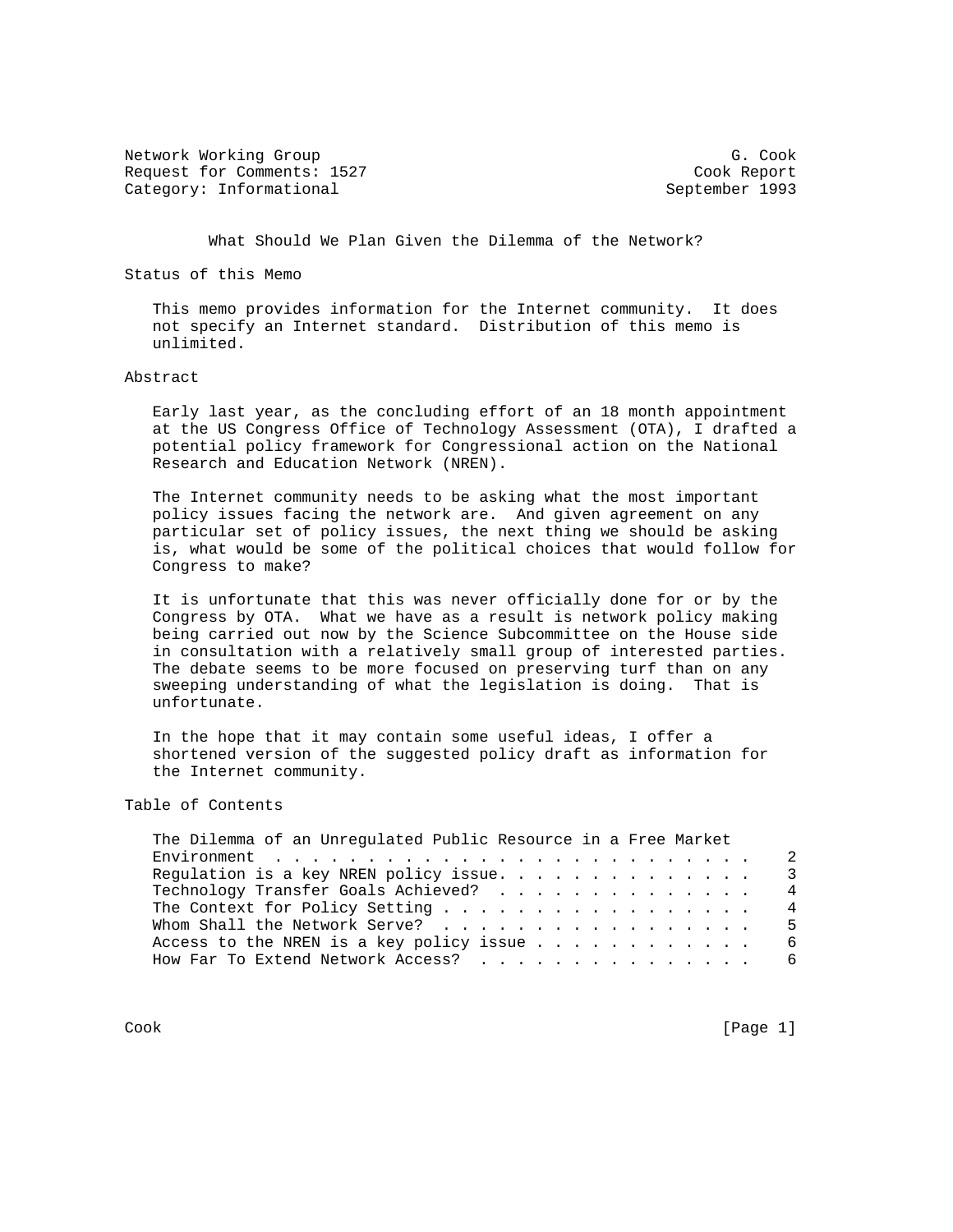Network Working Group Group Group G. Cook Request for Comments: 1527 Cook Report Category: Informational September 1993

What Should We Plan Given the Dilemma of the Network?

Status of this Memo

 This memo provides information for the Internet community. It does not specify an Internet standard. Distribution of this memo is unlimited.

## Abstract

 Early last year, as the concluding effort of an 18 month appointment at the US Congress Office of Technology Assessment (OTA), I drafted a potential policy framework for Congressional action on the National Research and Education Network (NREN).

 The Internet community needs to be asking what the most important policy issues facing the network are. And given agreement on any particular set of policy issues, the next thing we should be asking is, what would be some of the political choices that would follow for Congress to make?

 It is unfortunate that this was never officially done for or by the Congress by OTA. What we have as a result is network policy making being carried out now by the Science Subcommittee on the House side in consultation with a relatively small group of interested parties. The debate seems to be more focused on preserving turf than on any sweeping understanding of what the legislation is doing. That is unfortunate.

 In the hope that it may contain some useful ideas, I offer a shortened version of the suggested policy draft as information for the Internet community.

## Table of Contents

| Regulation is a key NREN policy issue.    |  |  |  |  |  |  |  |
|-------------------------------------------|--|--|--|--|--|--|--|
| Technology Transfer Goals Achieved?       |  |  |  |  |  |  |  |
| The Context for Policy Setting $\ldots$ 4 |  |  |  |  |  |  |  |
| Whom Shall the Network Serve?             |  |  |  |  |  |  |  |
|                                           |  |  |  |  |  |  |  |
| How Far To Extend Network Access? 6       |  |  |  |  |  |  |  |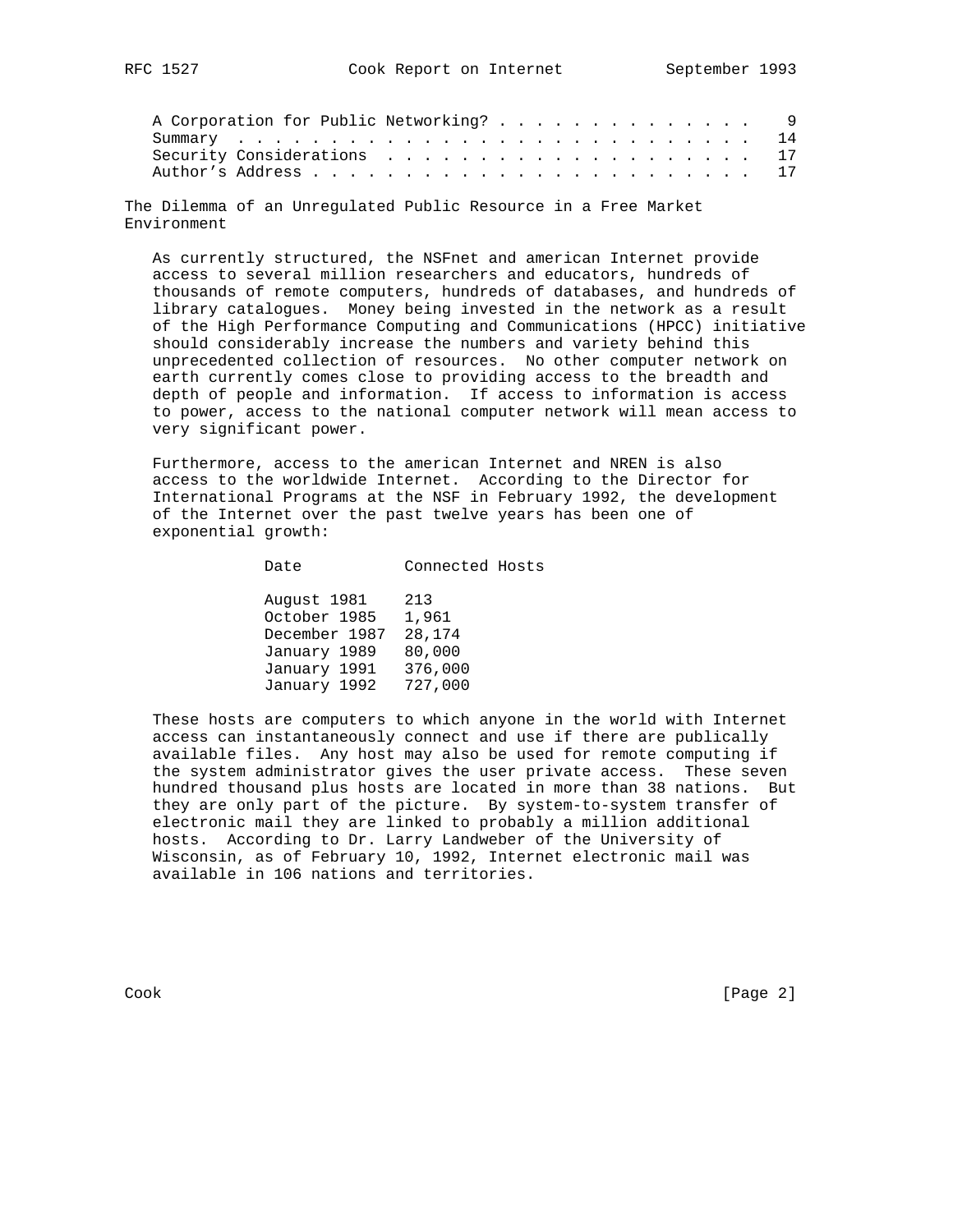| A Corporation for Public Networking? 9 |  |  |  |  |  |  |  |  |  |  |
|----------------------------------------|--|--|--|--|--|--|--|--|--|--|
|                                        |  |  |  |  |  |  |  |  |  |  |
|                                        |  |  |  |  |  |  |  |  |  |  |
|                                        |  |  |  |  |  |  |  |  |  |  |

The Dilemma of an Unregulated Public Resource in a Free Market Environment

 As currently structured, the NSFnet and american Internet provide access to several million researchers and educators, hundreds of thousands of remote computers, hundreds of databases, and hundreds of library catalogues. Money being invested in the network as a result of the High Performance Computing and Communications (HPCC) initiative should considerably increase the numbers and variety behind this unprecedented collection of resources. No other computer network on earth currently comes close to providing access to the breadth and depth of people and information. If access to information is access to power, access to the national computer network will mean access to very significant power.

 Furthermore, access to the american Internet and NREN is also access to the worldwide Internet. According to the Director for International Programs at the NSF in February 1992, the development of the Internet over the past twelve years has been one of exponential growth:

| Date                                                                         | Connected Hosts                             |
|------------------------------------------------------------------------------|---------------------------------------------|
| August 1981<br>October 1985<br>December 1987<br>January 1989<br>January 1991 | 213<br>1,961<br>28,174<br>80,000<br>376,000 |
| January 1992                                                                 | 727,000                                     |

 These hosts are computers to which anyone in the world with Internet access can instantaneously connect and use if there are publically available files. Any host may also be used for remote computing if the system administrator gives the user private access. These seven hundred thousand plus hosts are located in more than 38 nations. But they are only part of the picture. By system-to-system transfer of electronic mail they are linked to probably a million additional hosts. According to Dr. Larry Landweber of the University of Wisconsin, as of February 10, 1992, Internet electronic mail was available in 106 nations and territories.

Cook [Page 2]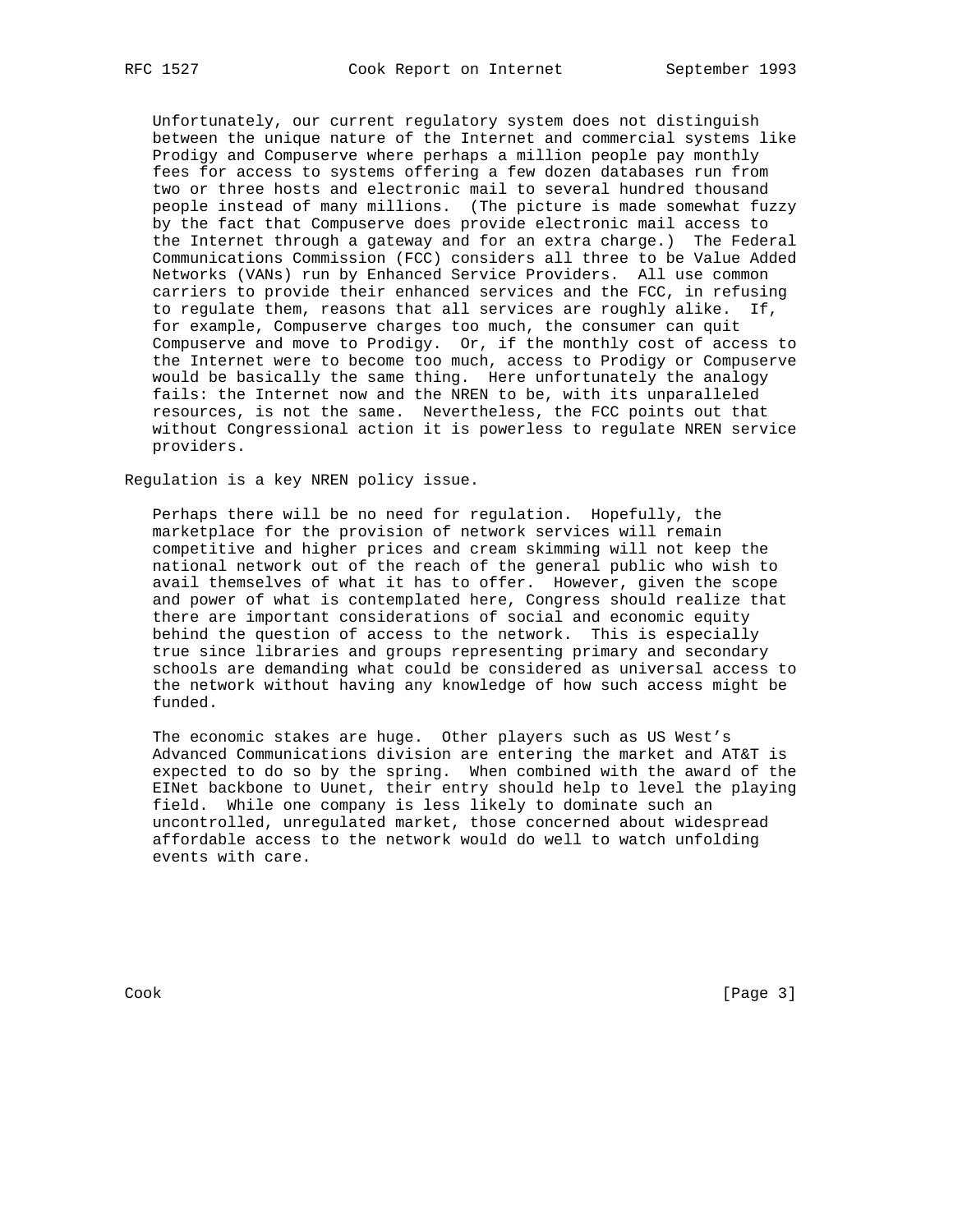Unfortunately, our current regulatory system does not distinguish between the unique nature of the Internet and commercial systems like Prodigy and Compuserve where perhaps a million people pay monthly fees for access to systems offering a few dozen databases run from two or three hosts and electronic mail to several hundred thousand people instead of many millions. (The picture is made somewhat fuzzy by the fact that Compuserve does provide electronic mail access to the Internet through a gateway and for an extra charge.) The Federal Communications Commission (FCC) considers all three to be Value Added Networks (VANs) run by Enhanced Service Providers. All use common carriers to provide their enhanced services and the FCC, in refusing to regulate them, reasons that all services are roughly alike. If, for example, Compuserve charges too much, the consumer can quit Compuserve and move to Prodigy. Or, if the monthly cost of access to the Internet were to become too much, access to Prodigy or Compuserve would be basically the same thing. Here unfortunately the analogy fails: the Internet now and the NREN to be, with its unparalleled resources, is not the same. Nevertheless, the FCC points out that without Congressional action it is powerless to regulate NREN service providers.

Regulation is a key NREN policy issue.

 Perhaps there will be no need for regulation. Hopefully, the marketplace for the provision of network services will remain competitive and higher prices and cream skimming will not keep the national network out of the reach of the general public who wish to avail themselves of what it has to offer. However, given the scope and power of what is contemplated here, Congress should realize that there are important considerations of social and economic equity behind the question of access to the network. This is especially true since libraries and groups representing primary and secondary schools are demanding what could be considered as universal access to the network without having any knowledge of how such access might be funded.

 The economic stakes are huge. Other players such as US West's Advanced Communications division are entering the market and AT&T is expected to do so by the spring. When combined with the award of the EINet backbone to Uunet, their entry should help to level the playing field. While one company is less likely to dominate such an uncontrolled, unregulated market, those concerned about widespread affordable access to the network would do well to watch unfolding events with care.

Cook [Page 3]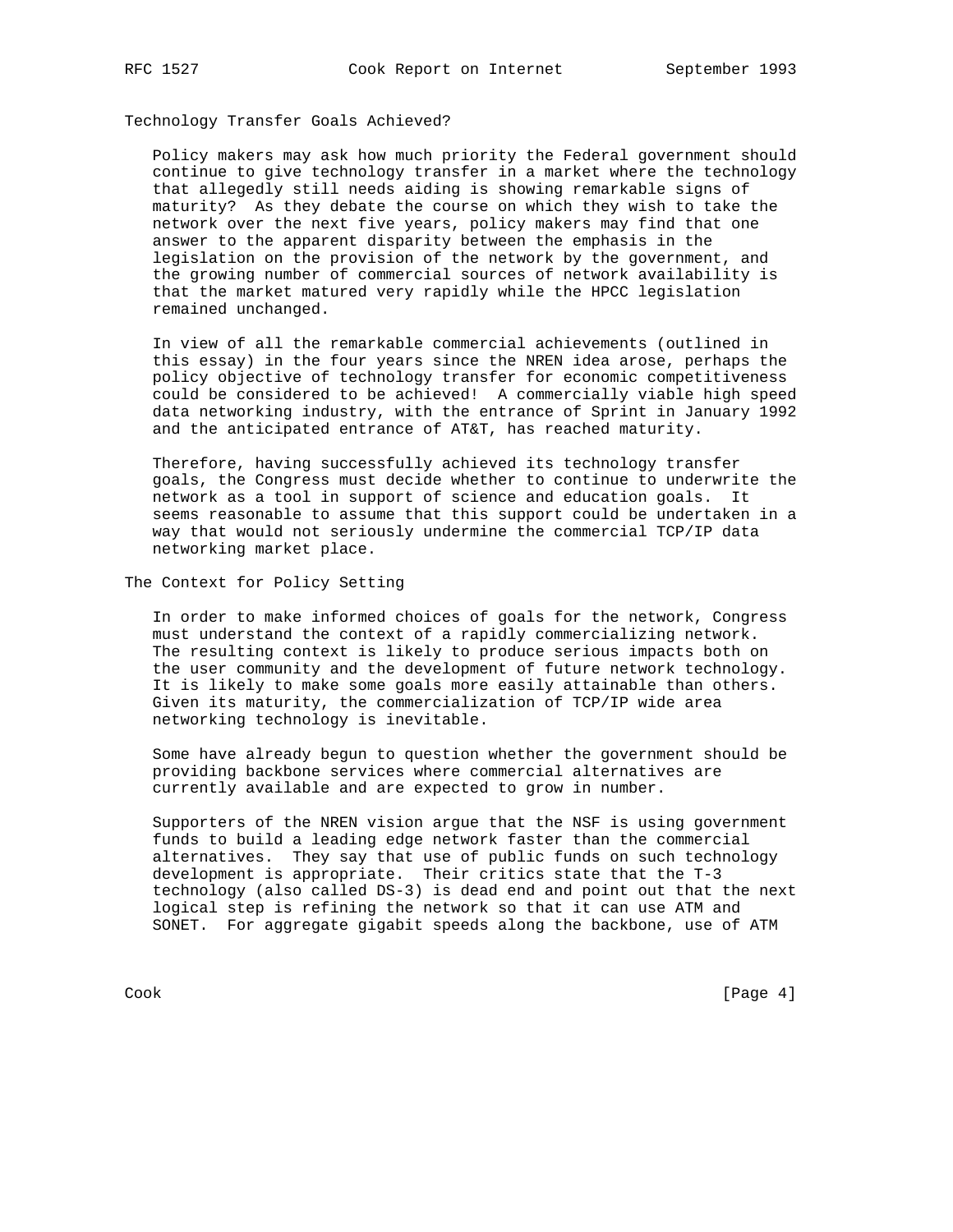Technology Transfer Goals Achieved?

 Policy makers may ask how much priority the Federal government should continue to give technology transfer in a market where the technology that allegedly still needs aiding is showing remarkable signs of maturity? As they debate the course on which they wish to take the network over the next five years, policy makers may find that one answer to the apparent disparity between the emphasis in the legislation on the provision of the network by the government, and the growing number of commercial sources of network availability is that the market matured very rapidly while the HPCC legislation remained unchanged.

 In view of all the remarkable commercial achievements (outlined in this essay) in the four years since the NREN idea arose, perhaps the policy objective of technology transfer for economic competitiveness could be considered to be achieved! A commercially viable high speed data networking industry, with the entrance of Sprint in January 1992 and the anticipated entrance of AT&T, has reached maturity.

 Therefore, having successfully achieved its technology transfer goals, the Congress must decide whether to continue to underwrite the network as a tool in support of science and education goals. It seems reasonable to assume that this support could be undertaken in a way that would not seriously undermine the commercial TCP/IP data networking market place.

The Context for Policy Setting

 In order to make informed choices of goals for the network, Congress must understand the context of a rapidly commercializing network. The resulting context is likely to produce serious impacts both on the user community and the development of future network technology. It is likely to make some goals more easily attainable than others. Given its maturity, the commercialization of TCP/IP wide area networking technology is inevitable.

 Some have already begun to question whether the government should be providing backbone services where commercial alternatives are currently available and are expected to grow in number.

 Supporters of the NREN vision argue that the NSF is using government funds to build a leading edge network faster than the commercial alternatives. They say that use of public funds on such technology development is appropriate. Their critics state that the T-3 technology (also called DS-3) is dead end and point out that the next logical step is refining the network so that it can use ATM and SONET. For aggregate gigabit speeds along the backbone, use of ATM

Cook [Page 4]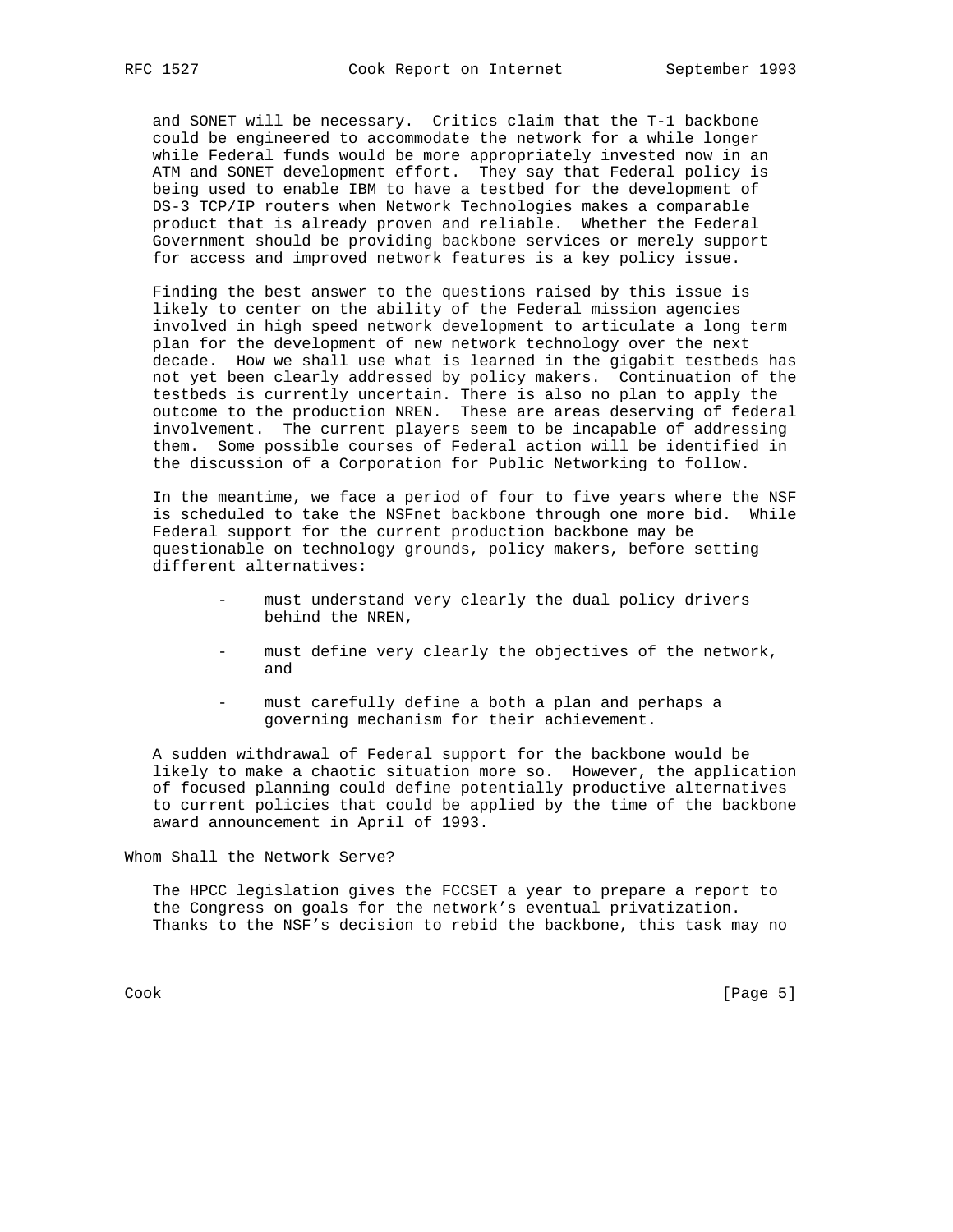and SONET will be necessary. Critics claim that the T-1 backbone could be engineered to accommodate the network for a while longer while Federal funds would be more appropriately invested now in an ATM and SONET development effort. They say that Federal policy is being used to enable IBM to have a testbed for the development of DS-3 TCP/IP routers when Network Technologies makes a comparable product that is already proven and reliable. Whether the Federal Government should be providing backbone services or merely support for access and improved network features is a key policy issue.

 Finding the best answer to the questions raised by this issue is likely to center on the ability of the Federal mission agencies involved in high speed network development to articulate a long term plan for the development of new network technology over the next decade. How we shall use what is learned in the gigabit testbeds has not yet been clearly addressed by policy makers. Continuation of the testbeds is currently uncertain. There is also no plan to apply the outcome to the production NREN. These are areas deserving of federal involvement. The current players seem to be incapable of addressing them. Some possible courses of Federal action will be identified in the discussion of a Corporation for Public Networking to follow.

 In the meantime, we face a period of four to five years where the NSF is scheduled to take the NSFnet backbone through one more bid. While Federal support for the current production backbone may be questionable on technology grounds, policy makers, before setting different alternatives:

- must understand very clearly the dual policy drivers behind the NREN,
- must define very clearly the objectives of the network, and
- must carefully define a both a plan and perhaps a governing mechanism for their achievement.

 A sudden withdrawal of Federal support for the backbone would be likely to make a chaotic situation more so. However, the application of focused planning could define potentially productive alternatives to current policies that could be applied by the time of the backbone award announcement in April of 1993.

Whom Shall the Network Serve?

 The HPCC legislation gives the FCCSET a year to prepare a report to the Congress on goals for the network's eventual privatization. Thanks to the NSF's decision to rebid the backbone, this task may no

Cook [Page 5]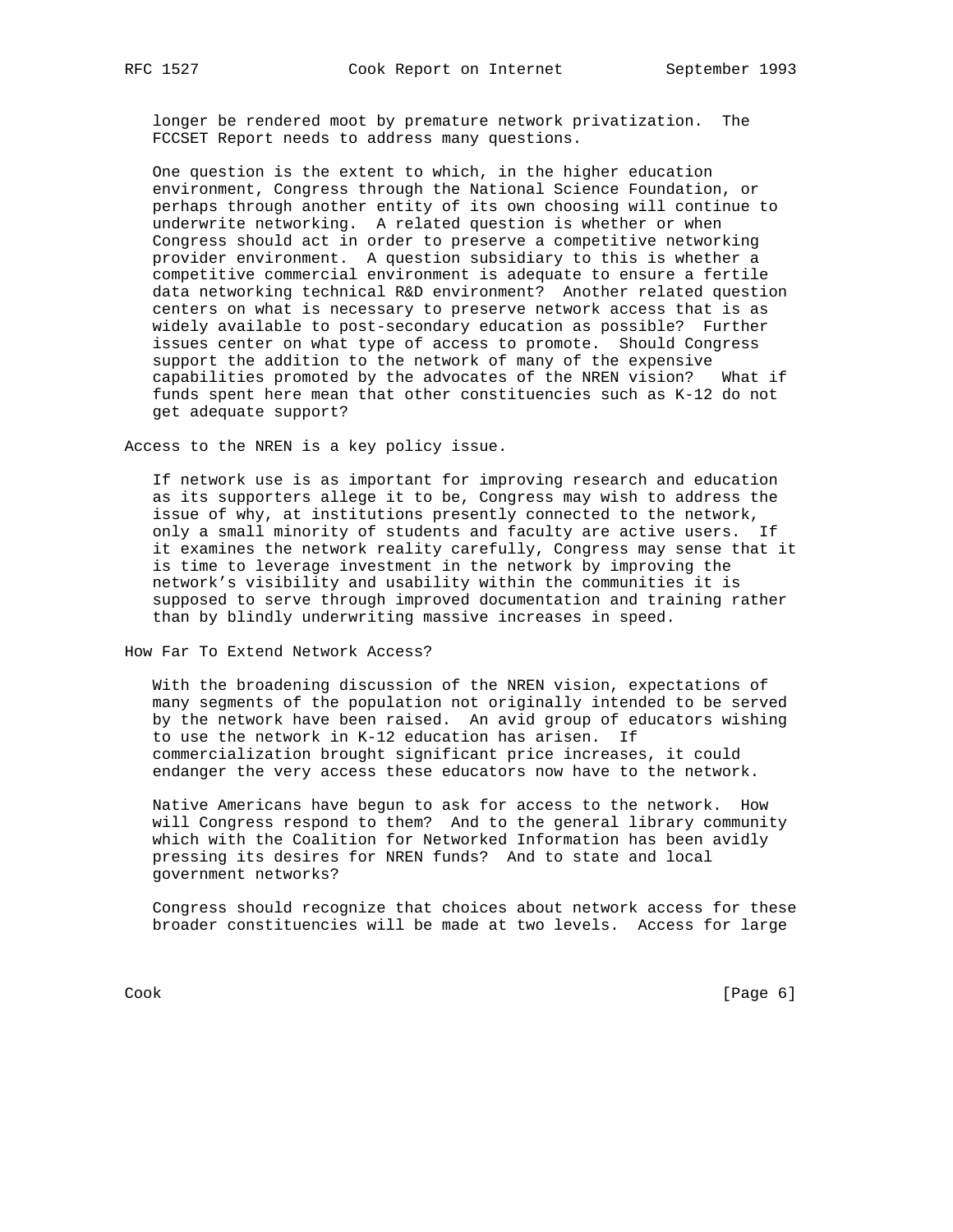longer be rendered moot by premature network privatization. The FCCSET Report needs to address many questions.

 One question is the extent to which, in the higher education environment, Congress through the National Science Foundation, or perhaps through another entity of its own choosing will continue to underwrite networking. A related question is whether or when Congress should act in order to preserve a competitive networking provider environment. A question subsidiary to this is whether a competitive commercial environment is adequate to ensure a fertile data networking technical R&D environment? Another related question centers on what is necessary to preserve network access that is as widely available to post-secondary education as possible? Further issues center on what type of access to promote. Should Congress support the addition to the network of many of the expensive capabilities promoted by the advocates of the NREN vision? What if funds spent here mean that other constituencies such as K-12 do not get adequate support?

Access to the NREN is a key policy issue.

 If network use is as important for improving research and education as its supporters allege it to be, Congress may wish to address the issue of why, at institutions presently connected to the network, only a small minority of students and faculty are active users. If it examines the network reality carefully, Congress may sense that it is time to leverage investment in the network by improving the network's visibility and usability within the communities it is supposed to serve through improved documentation and training rather than by blindly underwriting massive increases in speed.

How Far To Extend Network Access?

 With the broadening discussion of the NREN vision, expectations of many segments of the population not originally intended to be served by the network have been raised. An avid group of educators wishing to use the network in K-12 education has arisen. If commercialization brought significant price increases, it could endanger the very access these educators now have to the network.

 Native Americans have begun to ask for access to the network. How will Congress respond to them? And to the general library community which with the Coalition for Networked Information has been avidly pressing its desires for NREN funds? And to state and local government networks?

 Congress should recognize that choices about network access for these broader constituencies will be made at two levels. Access for large

Cook [Page 6]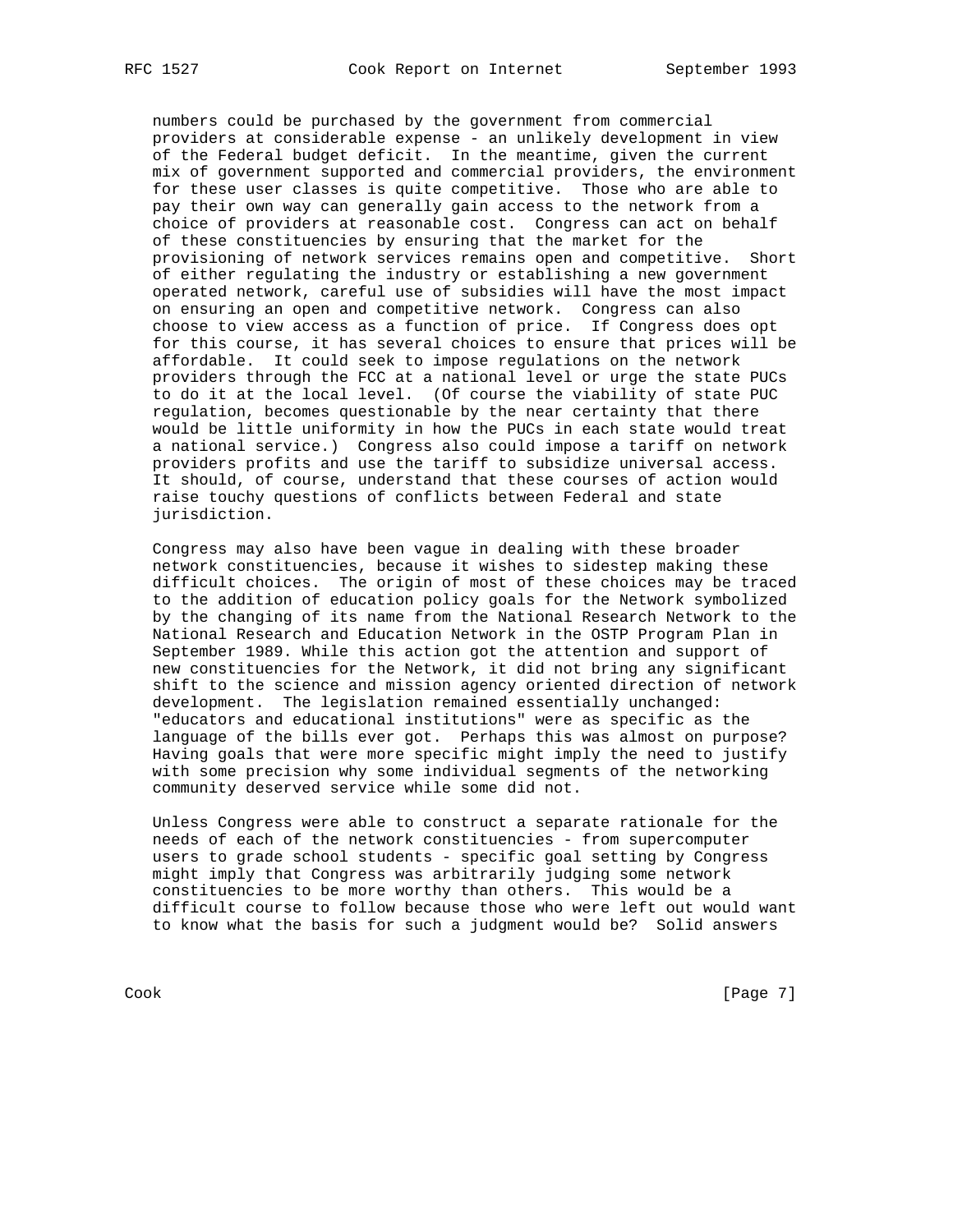numbers could be purchased by the government from commercial providers at considerable expense - an unlikely development in view of the Federal budget deficit. In the meantime, given the current mix of government supported and commercial providers, the environment for these user classes is quite competitive. Those who are able to pay their own way can generally gain access to the network from a choice of providers at reasonable cost. Congress can act on behalf of these constituencies by ensuring that the market for the provisioning of network services remains open and competitive. Short of either regulating the industry or establishing a new government operated network, careful use of subsidies will have the most impact on ensuring an open and competitive network. Congress can also choose to view access as a function of price. If Congress does opt for this course, it has several choices to ensure that prices will be affordable. It could seek to impose regulations on the network providers through the FCC at a national level or urge the state PUCs to do it at the local level. (Of course the viability of state PUC regulation, becomes questionable by the near certainty that there would be little uniformity in how the PUCs in each state would treat a national service.) Congress also could impose a tariff on network providers profits and use the tariff to subsidize universal access. It should, of course, understand that these courses of action would raise touchy questions of conflicts between Federal and state jurisdiction.

 Congress may also have been vague in dealing with these broader network constituencies, because it wishes to sidestep making these difficult choices. The origin of most of these choices may be traced to the addition of education policy goals for the Network symbolized by the changing of its name from the National Research Network to the National Research and Education Network in the OSTP Program Plan in September 1989. While this action got the attention and support of new constituencies for the Network, it did not bring any significant shift to the science and mission agency oriented direction of network development. The legislation remained essentially unchanged: "educators and educational institutions" were as specific as the language of the bills ever got. Perhaps this was almost on purpose? Having goals that were more specific might imply the need to justify with some precision why some individual segments of the networking community deserved service while some did not.

 Unless Congress were able to construct a separate rationale for the needs of each of the network constituencies - from supercomputer users to grade school students - specific goal setting by Congress might imply that Congress was arbitrarily judging some network constituencies to be more worthy than others. This would be a difficult course to follow because those who were left out would want to know what the basis for such a judgment would be? Solid answers

Cook [Page 7]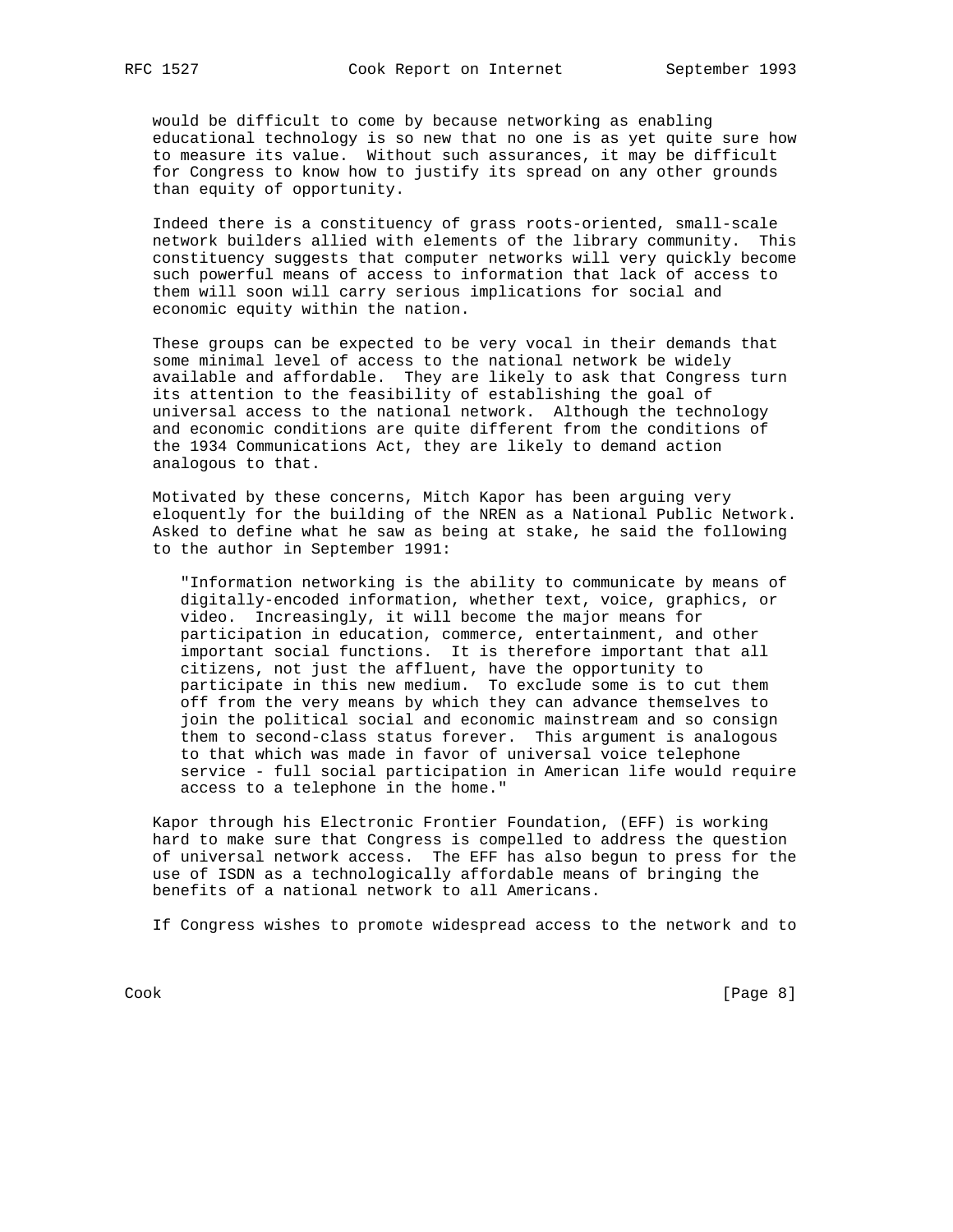would be difficult to come by because networking as enabling educational technology is so new that no one is as yet quite sure how to measure its value. Without such assurances, it may be difficult for Congress to know how to justify its spread on any other grounds than equity of opportunity.

 Indeed there is a constituency of grass roots-oriented, small-scale network builders allied with elements of the library community. This constituency suggests that computer networks will very quickly become such powerful means of access to information that lack of access to them will soon will carry serious implications for social and economic equity within the nation.

 These groups can be expected to be very vocal in their demands that some minimal level of access to the national network be widely available and affordable. They are likely to ask that Congress turn its attention to the feasibility of establishing the goal of universal access to the national network. Although the technology and economic conditions are quite different from the conditions of the 1934 Communications Act, they are likely to demand action analogous to that.

 Motivated by these concerns, Mitch Kapor has been arguing very eloquently for the building of the NREN as a National Public Network. Asked to define what he saw as being at stake, he said the following to the author in September 1991:

 "Information networking is the ability to communicate by means of digitally-encoded information, whether text, voice, graphics, or video. Increasingly, it will become the major means for participation in education, commerce, entertainment, and other important social functions. It is therefore important that all citizens, not just the affluent, have the opportunity to participate in this new medium. To exclude some is to cut them off from the very means by which they can advance themselves to join the political social and economic mainstream and so consign them to second-class status forever. This argument is analogous to that which was made in favor of universal voice telephone service - full social participation in American life would require access to a telephone in the home."

 Kapor through his Electronic Frontier Foundation, (EFF) is working hard to make sure that Congress is compelled to address the question of universal network access. The EFF has also begun to press for the use of ISDN as a technologically affordable means of bringing the benefits of a national network to all Americans.

If Congress wishes to promote widespread access to the network and to

Cook [Page 8]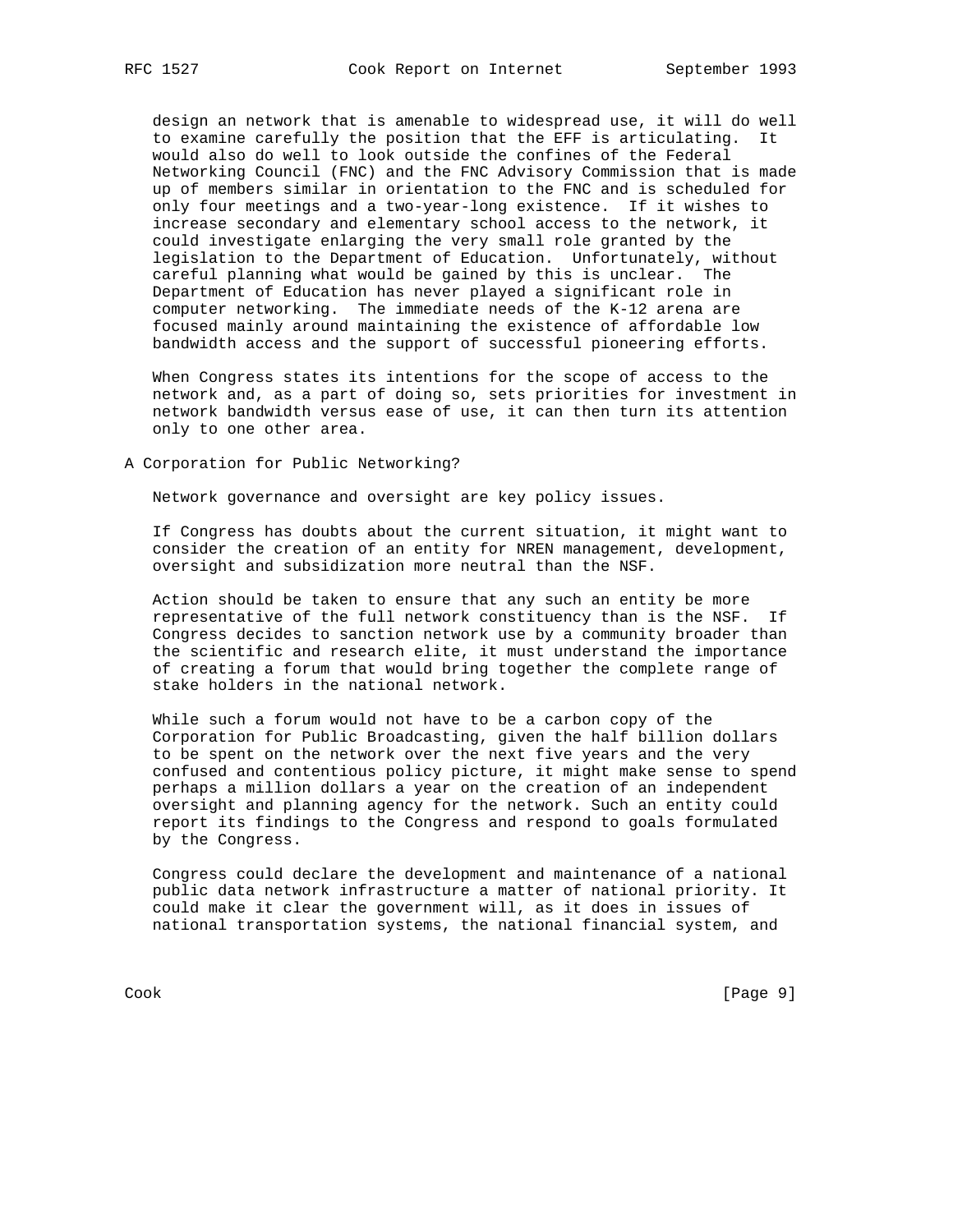design an network that is amenable to widespread use, it will do well to examine carefully the position that the EFF is articulating. It would also do well to look outside the confines of the Federal Networking Council (FNC) and the FNC Advisory Commission that is made up of members similar in orientation to the FNC and is scheduled for only four meetings and a two-year-long existence. If it wishes to increase secondary and elementary school access to the network, it could investigate enlarging the very small role granted by the legislation to the Department of Education. Unfortunately, without careful planning what would be gained by this is unclear. The Department of Education has never played a significant role in computer networking. The immediate needs of the K-12 arena are focused mainly around maintaining the existence of affordable low bandwidth access and the support of successful pioneering efforts.

 When Congress states its intentions for the scope of access to the network and, as a part of doing so, sets priorities for investment in network bandwidth versus ease of use, it can then turn its attention only to one other area.

A Corporation for Public Networking?

Network governance and oversight are key policy issues.

 If Congress has doubts about the current situation, it might want to consider the creation of an entity for NREN management, development, oversight and subsidization more neutral than the NSF.

 Action should be taken to ensure that any such an entity be more representative of the full network constituency than is the NSF. If Congress decides to sanction network use by a community broader than the scientific and research elite, it must understand the importance of creating a forum that would bring together the complete range of stake holders in the national network.

 While such a forum would not have to be a carbon copy of the Corporation for Public Broadcasting, given the half billion dollars to be spent on the network over the next five years and the very confused and contentious policy picture, it might make sense to spend perhaps a million dollars a year on the creation of an independent oversight and planning agency for the network. Such an entity could report its findings to the Congress and respond to goals formulated by the Congress.

 Congress could declare the development and maintenance of a national public data network infrastructure a matter of national priority. It could make it clear the government will, as it does in issues of national transportation systems, the national financial system, and

Cook [Page 9]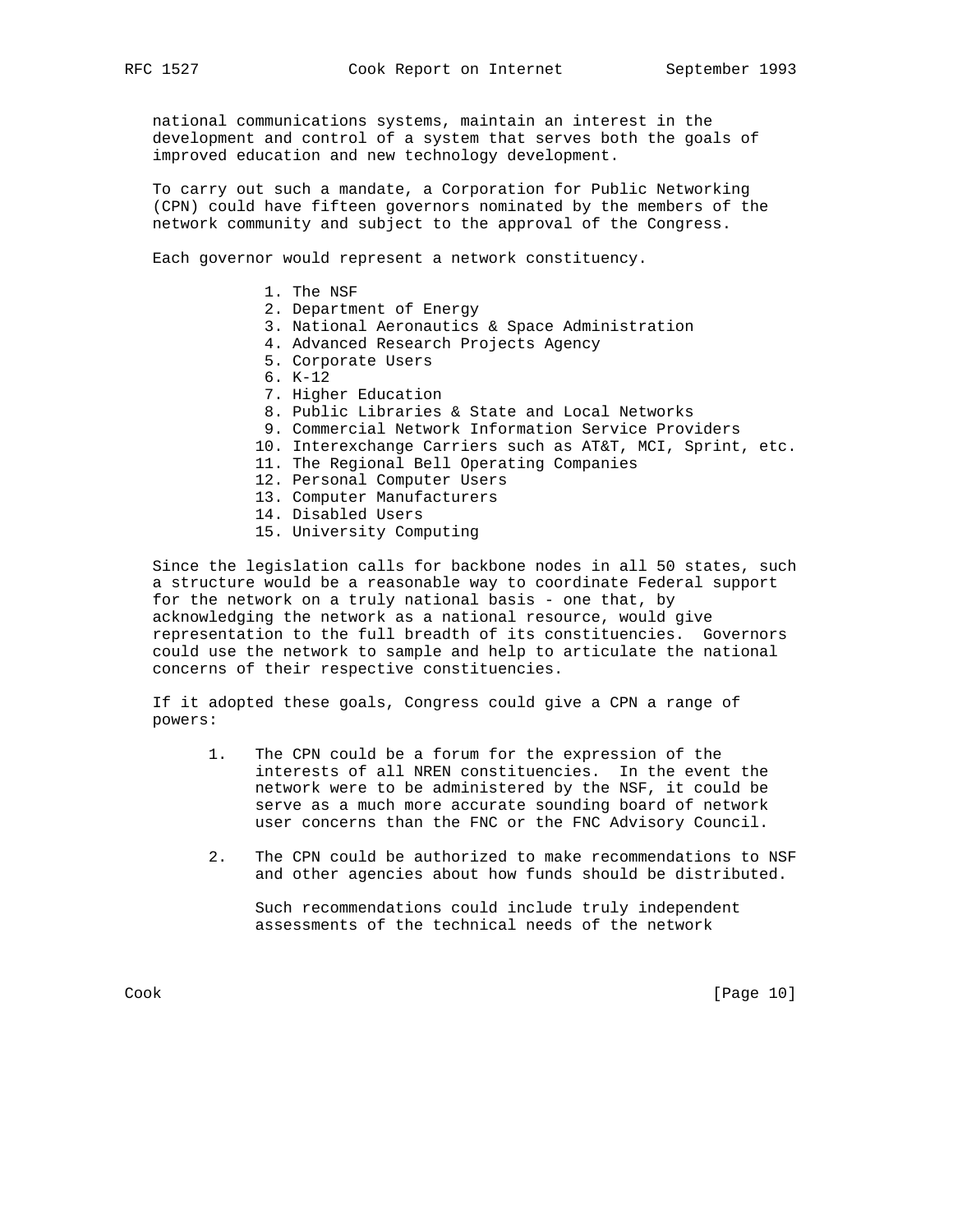national communications systems, maintain an interest in the development and control of a system that serves both the goals of improved education and new technology development.

 To carry out such a mandate, a Corporation for Public Networking (CPN) could have fifteen governors nominated by the members of the network community and subject to the approval of the Congress.

Each governor would represent a network constituency.

- 1. The NSF
- 2. Department of Energy
- 3. National Aeronautics & Space Administration
- 4. Advanced Research Projects Agency
- 5. Corporate Users
- 6. K-12
- 7. Higher Education
- 8. Public Libraries & State and Local Networks
- 9. Commercial Network Information Service Providers
- 10. Interexchange Carriers such as AT&T, MCI, Sprint, etc.
- 11. The Regional Bell Operating Companies
- 12. Personal Computer Users
- 13. Computer Manufacturers
- 14. Disabled Users
- 15. University Computing

 Since the legislation calls for backbone nodes in all 50 states, such a structure would be a reasonable way to coordinate Federal support for the network on a truly national basis - one that, by acknowledging the network as a national resource, would give representation to the full breadth of its constituencies. Governors could use the network to sample and help to articulate the national concerns of their respective constituencies.

 If it adopted these goals, Congress could give a CPN a range of powers:

- 1. The CPN could be a forum for the expression of the interests of all NREN constituencies. In the event the network were to be administered by the NSF, it could be serve as a much more accurate sounding board of network user concerns than the FNC or the FNC Advisory Council.
- 2. The CPN could be authorized to make recommendations to NSF and other agencies about how funds should be distributed.

 Such recommendations could include truly independent assessments of the technical needs of the network

Cook [Page 10]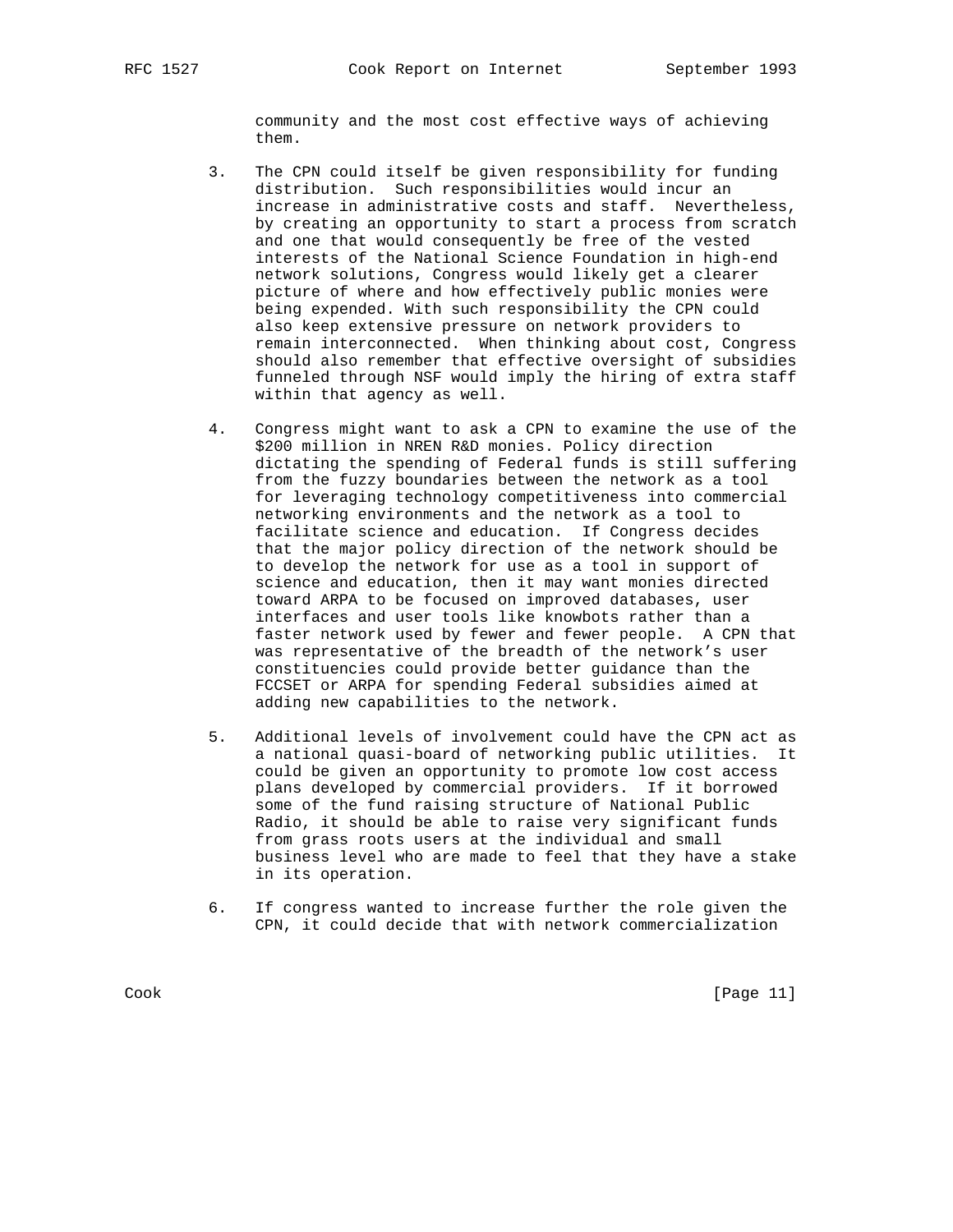community and the most cost effective ways of achieving them.

- 3. The CPN could itself be given responsibility for funding distribution. Such responsibilities would incur an increase in administrative costs and staff. Nevertheless, by creating an opportunity to start a process from scratch and one that would consequently be free of the vested interests of the National Science Foundation in high-end network solutions, Congress would likely get a clearer picture of where and how effectively public monies were being expended. With such responsibility the CPN could also keep extensive pressure on network providers to remain interconnected. When thinking about cost, Congress should also remember that effective oversight of subsidies funneled through NSF would imply the hiring of extra staff within that agency as well.
- 4. Congress might want to ask a CPN to examine the use of the \$200 million in NREN R&D monies. Policy direction dictating the spending of Federal funds is still suffering from the fuzzy boundaries between the network as a tool for leveraging technology competitiveness into commercial networking environments and the network as a tool to facilitate science and education. If Congress decides that the major policy direction of the network should be to develop the network for use as a tool in support of science and education, then it may want monies directed toward ARPA to be focused on improved databases, user interfaces and user tools like knowbots rather than a faster network used by fewer and fewer people. A CPN that was representative of the breadth of the network's user constituencies could provide better guidance than the FCCSET or ARPA for spending Federal subsidies aimed at adding new capabilities to the network.
- 5. Additional levels of involvement could have the CPN act as a national quasi-board of networking public utilities. It could be given an opportunity to promote low cost access plans developed by commercial providers. If it borrowed some of the fund raising structure of National Public Radio, it should be able to raise very significant funds from grass roots users at the individual and small business level who are made to feel that they have a stake in its operation.
- 6. If congress wanted to increase further the role given the CPN, it could decide that with network commercialization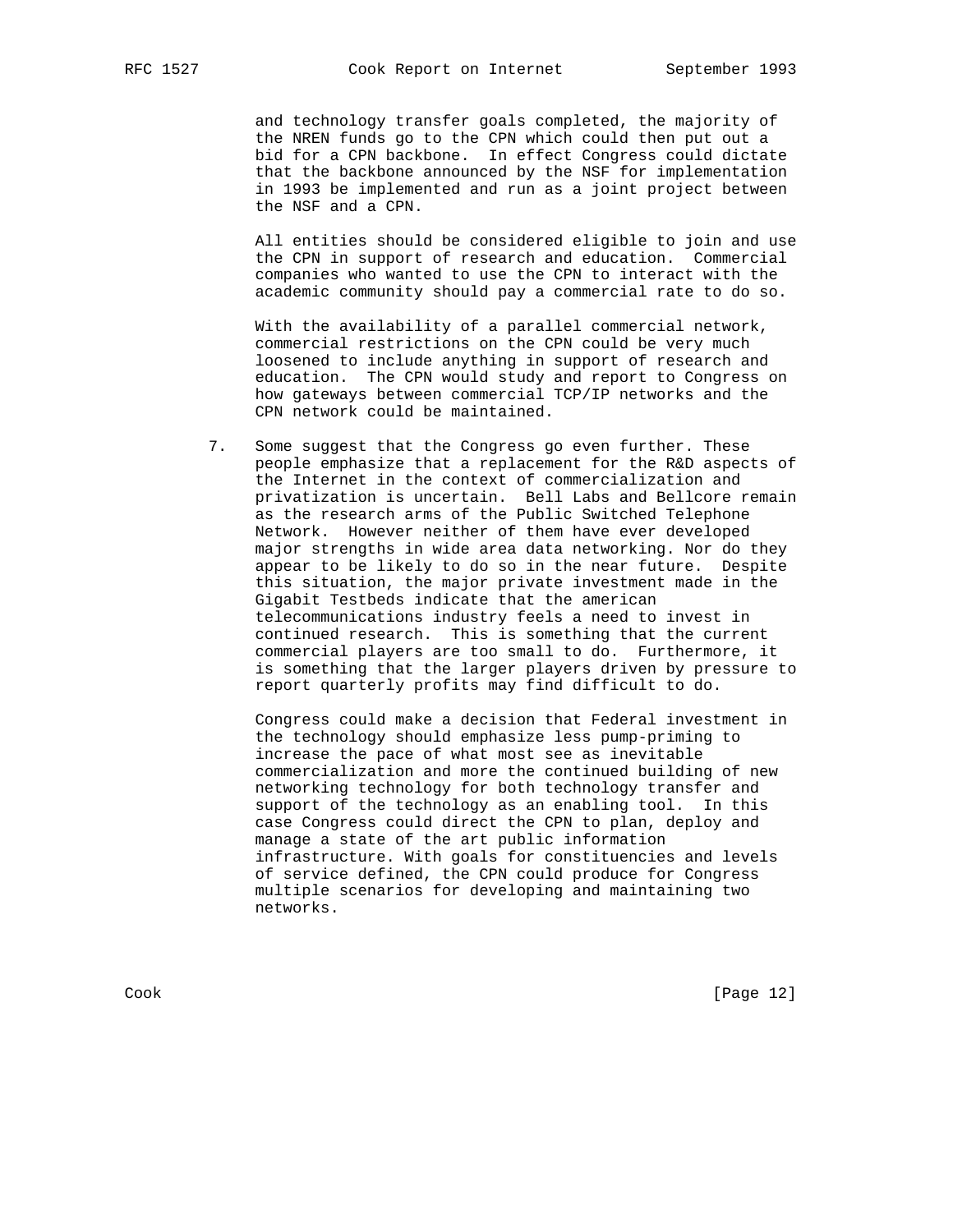and technology transfer goals completed, the majority of the NREN funds go to the CPN which could then put out a bid for a CPN backbone. In effect Congress could dictate that the backbone announced by the NSF for implementation in 1993 be implemented and run as a joint project between the NSF and a CPN.

 All entities should be considered eligible to join and use the CPN in support of research and education. Commercial companies who wanted to use the CPN to interact with the academic community should pay a commercial rate to do so.

 With the availability of a parallel commercial network, commercial restrictions on the CPN could be very much loosened to include anything in support of research and education. The CPN would study and report to Congress on how gateways between commercial TCP/IP networks and the CPN network could be maintained.

 7. Some suggest that the Congress go even further. These people emphasize that a replacement for the R&D aspects of the Internet in the context of commercialization and privatization is uncertain. Bell Labs and Bellcore remain as the research arms of the Public Switched Telephone Network. However neither of them have ever developed major strengths in wide area data networking. Nor do they appear to be likely to do so in the near future. Despite this situation, the major private investment made in the Gigabit Testbeds indicate that the american telecommunications industry feels a need to invest in continued research. This is something that the current commercial players are too small to do. Furthermore, it is something that the larger players driven by pressure to report quarterly profits may find difficult to do.

 Congress could make a decision that Federal investment in the technology should emphasize less pump-priming to increase the pace of what most see as inevitable commercialization and more the continued building of new networking technology for both technology transfer and support of the technology as an enabling tool. In this case Congress could direct the CPN to plan, deploy and manage a state of the art public information infrastructure. With goals for constituencies and levels of service defined, the CPN could produce for Congress multiple scenarios for developing and maintaining two networks.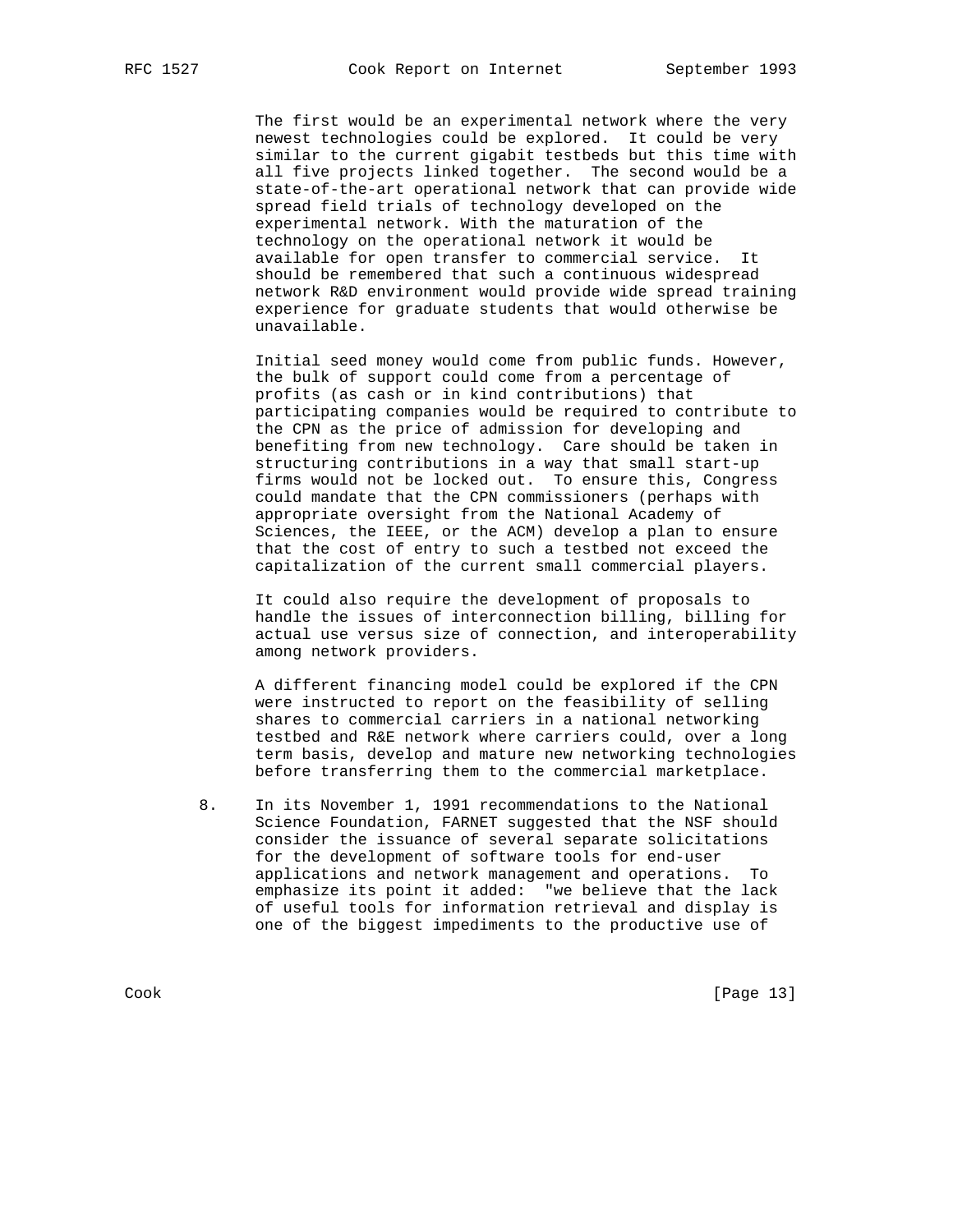The first would be an experimental network where the very newest technologies could be explored. It could be very similar to the current gigabit testbeds but this time with all five projects linked together. The second would be a state-of-the-art operational network that can provide wide spread field trials of technology developed on the experimental network. With the maturation of the technology on the operational network it would be available for open transfer to commercial service. It should be remembered that such a continuous widespread network R&D environment would provide wide spread training experience for graduate students that would otherwise be unavailable.

 Initial seed money would come from public funds. However, the bulk of support could come from a percentage of profits (as cash or in kind contributions) that participating companies would be required to contribute to the CPN as the price of admission for developing and benefiting from new technology. Care should be taken in structuring contributions in a way that small start-up firms would not be locked out. To ensure this, Congress could mandate that the CPN commissioners (perhaps with appropriate oversight from the National Academy of Sciences, the IEEE, or the ACM) develop a plan to ensure that the cost of entry to such a testbed not exceed the capitalization of the current small commercial players.

 It could also require the development of proposals to handle the issues of interconnection billing, billing for actual use versus size of connection, and interoperability among network providers.

 A different financing model could be explored if the CPN were instructed to report on the feasibility of selling shares to commercial carriers in a national networking testbed and R&E network where carriers could, over a long term basis, develop and mature new networking technologies before transferring them to the commercial marketplace.

 8. In its November 1, 1991 recommendations to the National Science Foundation, FARNET suggested that the NSF should consider the issuance of several separate solicitations for the development of software tools for end-user applications and network management and operations. To emphasize its point it added: "we believe that the lack of useful tools for information retrieval and display is one of the biggest impediments to the productive use of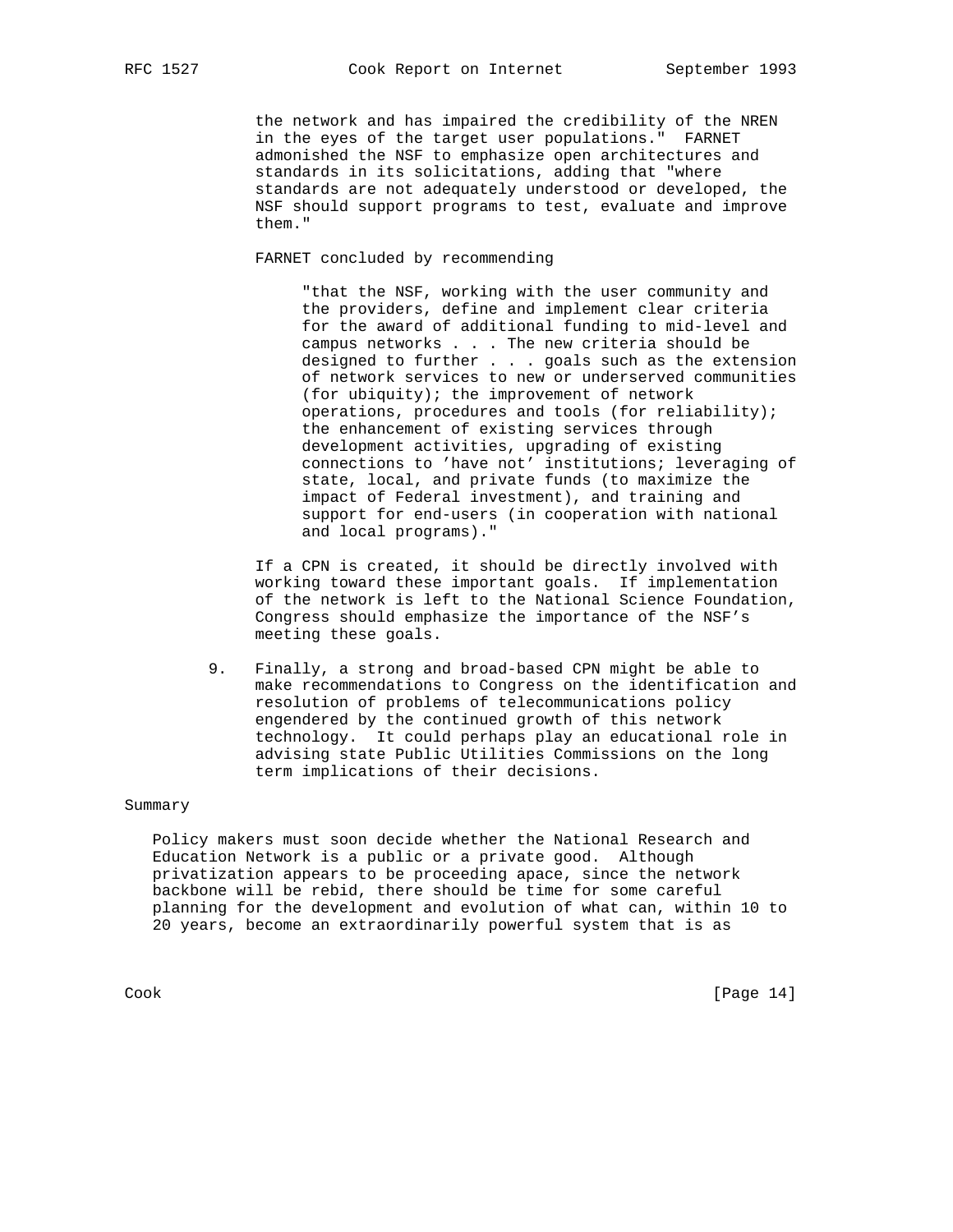the network and has impaired the credibility of the NREN in the eyes of the target user populations." FARNET admonished the NSF to emphasize open architectures and standards in its solicitations, adding that "where standards are not adequately understood or developed, the NSF should support programs to test, evaluate and improve them."

FARNET concluded by recommending

 "that the NSF, working with the user community and the providers, define and implement clear criteria for the award of additional funding to mid-level and campus networks . . . The new criteria should be designed to further . . . goals such as the extension of network services to new or underserved communities (for ubiquity); the improvement of network operations, procedures and tools (for reliability); the enhancement of existing services through development activities, upgrading of existing connections to 'have not' institutions; leveraging of state, local, and private funds (to maximize the impact of Federal investment), and training and support for end-users (in cooperation with national and local programs)."

 If a CPN is created, it should be directly involved with working toward these important goals. If implementation of the network is left to the National Science Foundation, Congress should emphasize the importance of the NSF's meeting these goals.

 9. Finally, a strong and broad-based CPN might be able to make recommendations to Congress on the identification and resolution of problems of telecommunications policy engendered by the continued growth of this network technology. It could perhaps play an educational role in advising state Public Utilities Commissions on the long term implications of their decisions.

## Summary

 Policy makers must soon decide whether the National Research and Education Network is a public or a private good. Although privatization appears to be proceeding apace, since the network backbone will be rebid, there should be time for some careful planning for the development and evolution of what can, within 10 to 20 years, become an extraordinarily powerful system that is as

Cook [Page 14]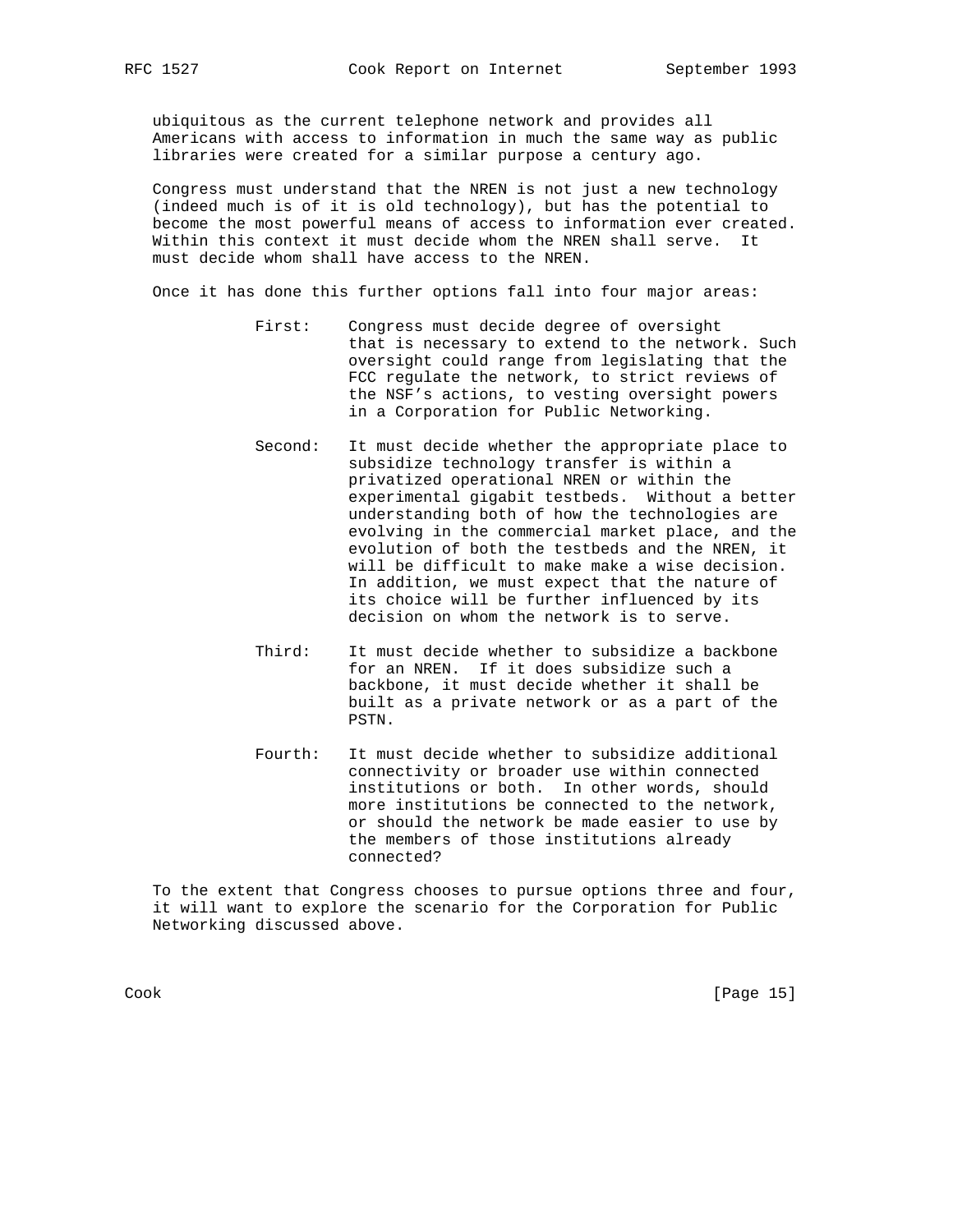ubiquitous as the current telephone network and provides all Americans with access to information in much the same way as public libraries were created for a similar purpose a century ago.

 Congress must understand that the NREN is not just a new technology (indeed much is of it is old technology), but has the potential to become the most powerful means of access to information ever created. Within this context it must decide whom the NREN shall serve. It must decide whom shall have access to the NREN.

Once it has done this further options fall into four major areas:

- First: Congress must decide degree of oversight that is necessary to extend to the network. Such oversight could range from legislating that the FCC regulate the network, to strict reviews of the NSF's actions, to vesting oversight powers in a Corporation for Public Networking.
- Second: It must decide whether the appropriate place to subsidize technology transfer is within a privatized operational NREN or within the experimental gigabit testbeds. Without a better understanding both of how the technologies are evolving in the commercial market place, and the evolution of both the testbeds and the NREN, it will be difficult to make make a wise decision. In addition, we must expect that the nature of its choice will be further influenced by its decision on whom the network is to serve.
- Third: It must decide whether to subsidize a backbone for an NREN. If it does subsidize such a backbone, it must decide whether it shall be built as a private network or as a part of the PSTN.
- Fourth: It must decide whether to subsidize additional connectivity or broader use within connected institutions or both. In other words, should more institutions be connected to the network, or should the network be made easier to use by the members of those institutions already connected?

 To the extent that Congress chooses to pursue options three and four, it will want to explore the scenario for the Corporation for Public Networking discussed above.

Cook [Page 15]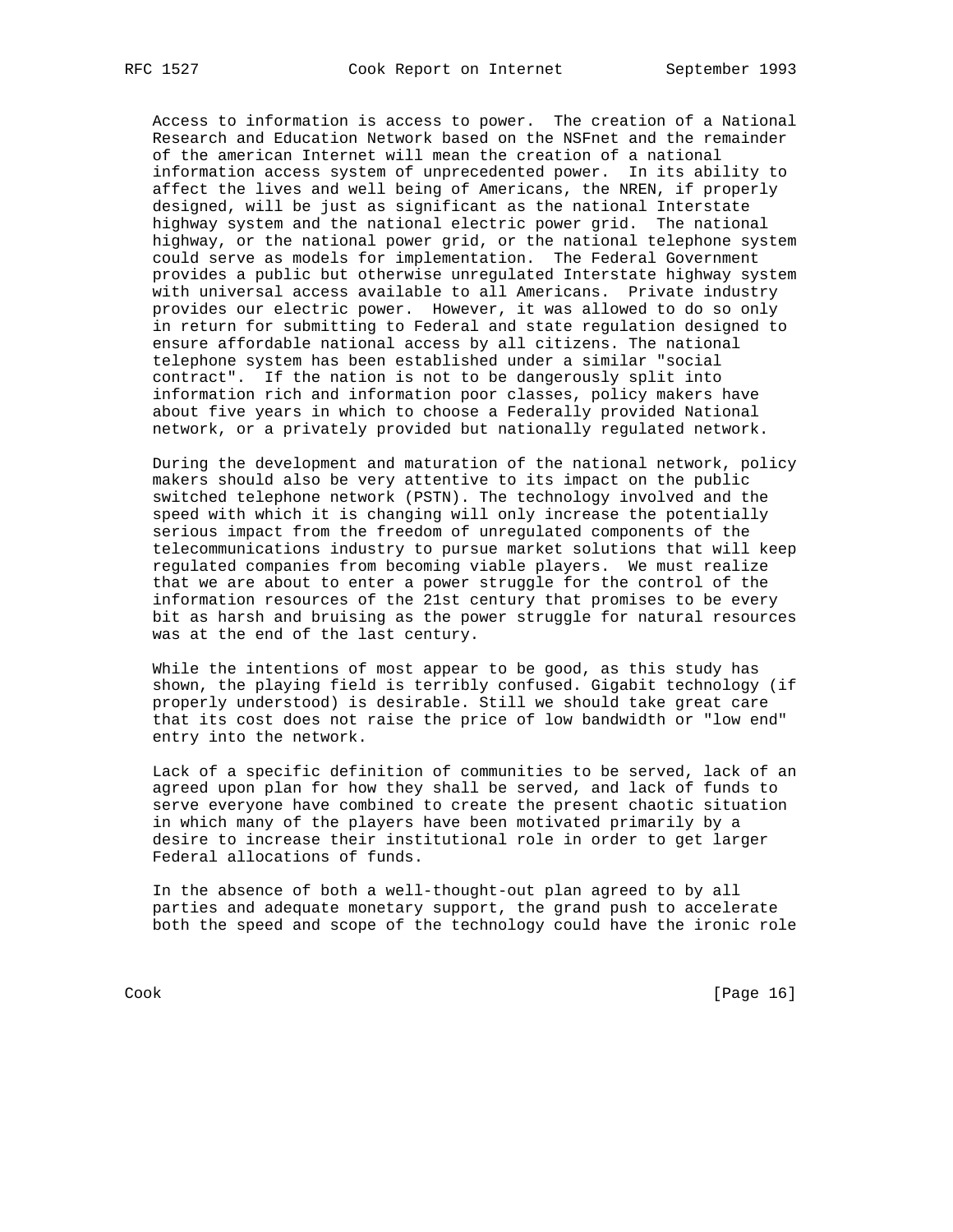Access to information is access to power. The creation of a National Research and Education Network based on the NSFnet and the remainder of the american Internet will mean the creation of a national information access system of unprecedented power. In its ability to affect the lives and well being of Americans, the NREN, if properly designed, will be just as significant as the national Interstate highway system and the national electric power grid. The national highway, or the national power grid, or the national telephone system could serve as models for implementation. The Federal Government provides a public but otherwise unregulated Interstate highway system with universal access available to all Americans. Private industry provides our electric power. However, it was allowed to do so only in return for submitting to Federal and state regulation designed to ensure affordable national access by all citizens. The national telephone system has been established under a similar "social contract". If the nation is not to be dangerously split into information rich and information poor classes, policy makers have about five years in which to choose a Federally provided National network, or a privately provided but nationally regulated network.

 During the development and maturation of the national network, policy makers should also be very attentive to its impact on the public switched telephone network (PSTN). The technology involved and the speed with which it is changing will only increase the potentially serious impact from the freedom of unregulated components of the telecommunications industry to pursue market solutions that will keep regulated companies from becoming viable players. We must realize that we are about to enter a power struggle for the control of the information resources of the 21st century that promises to be every bit as harsh and bruising as the power struggle for natural resources was at the end of the last century.

 While the intentions of most appear to be good, as this study has shown, the playing field is terribly confused. Gigabit technology (if properly understood) is desirable. Still we should take great care that its cost does not raise the price of low bandwidth or "low end" entry into the network.

 Lack of a specific definition of communities to be served, lack of an agreed upon plan for how they shall be served, and lack of funds to serve everyone have combined to create the present chaotic situation in which many of the players have been motivated primarily by a desire to increase their institutional role in order to get larger Federal allocations of funds.

 In the absence of both a well-thought-out plan agreed to by all parties and adequate monetary support, the grand push to accelerate both the speed and scope of the technology could have the ironic role

Cook [Page 16]